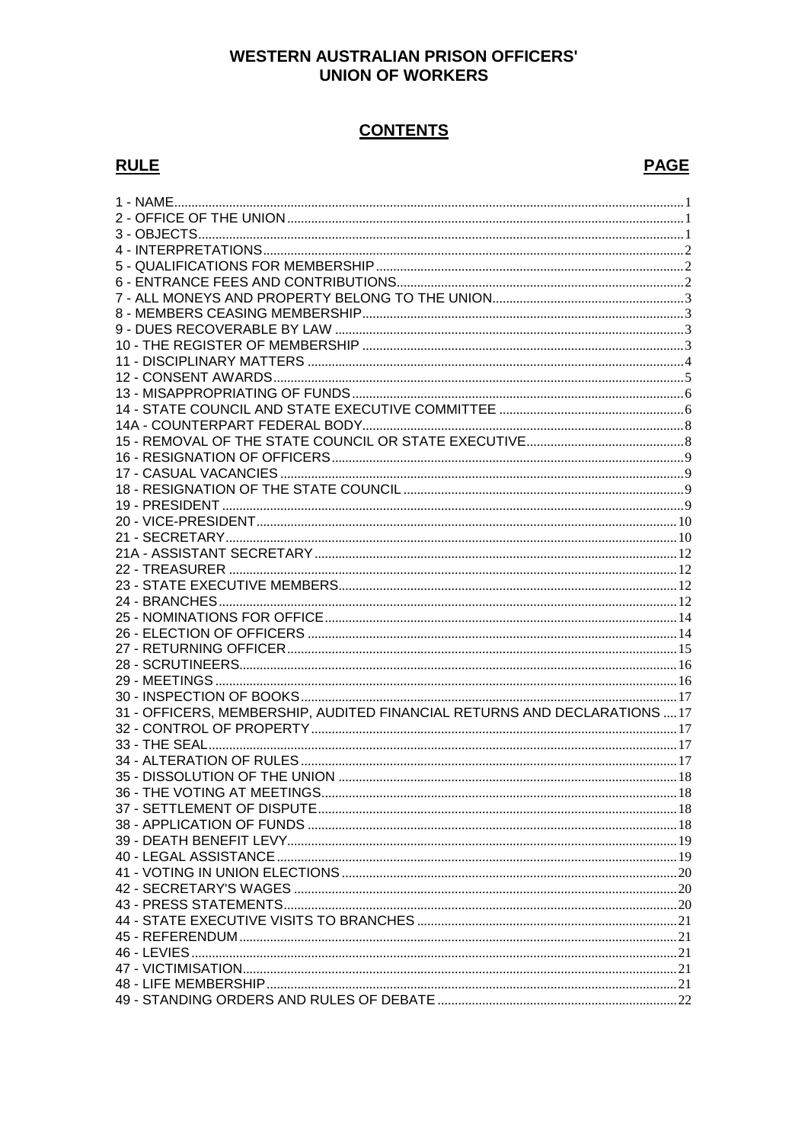### **WESTERN AUSTRALIAN PRISON OFFICERS' UNION OF WORKERS**

# **CONTENTS**

### **RULE**

# **PAGE**

| 31 - OFFICERS, MEMBERSHIP, AUDITED FINANCIAL RETURNS AND DECLARATIONS  17 |  |
|---------------------------------------------------------------------------|--|
|                                                                           |  |
|                                                                           |  |
|                                                                           |  |
|                                                                           |  |
|                                                                           |  |
|                                                                           |  |
|                                                                           |  |
|                                                                           |  |
|                                                                           |  |
|                                                                           |  |
|                                                                           |  |
|                                                                           |  |
|                                                                           |  |
|                                                                           |  |
|                                                                           |  |
|                                                                           |  |
|                                                                           |  |
|                                                                           |  |
|                                                                           |  |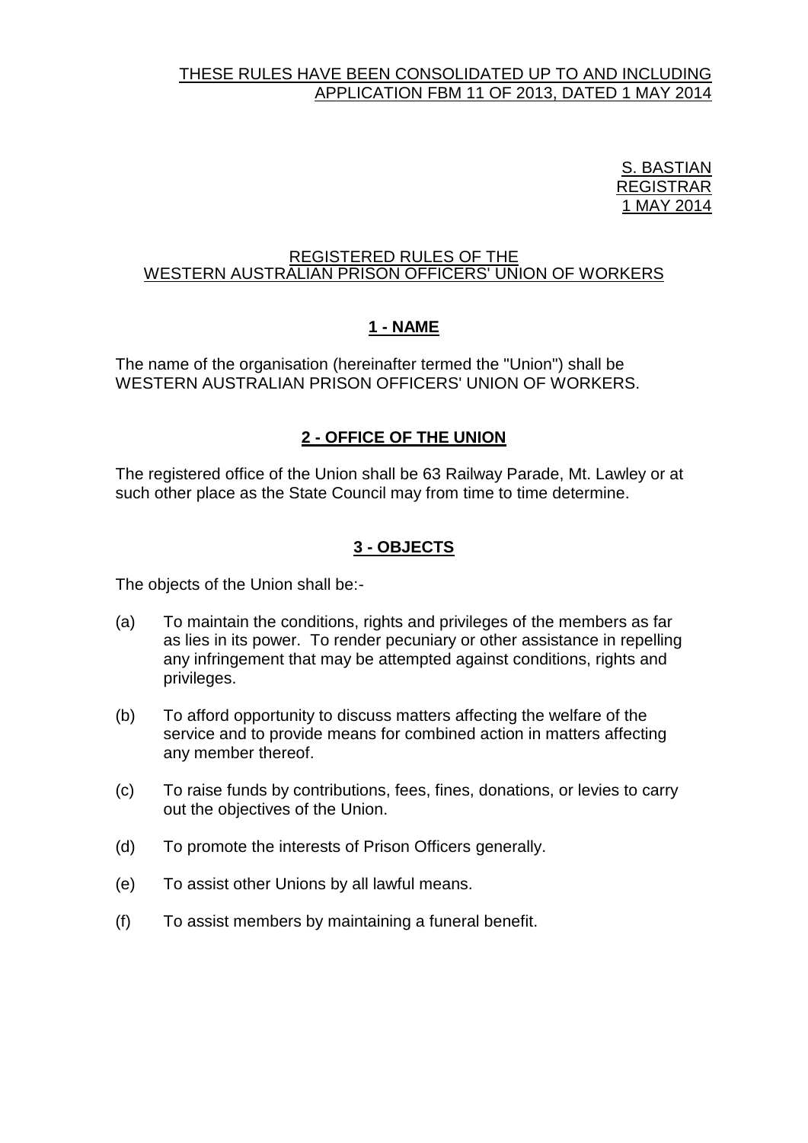#### THESE RULES HAVE BEEN CONSOLIDATED UP TO AND INCLUDING APPLICATION FBM 11 OF 2013, DATED 1 MAY 2014

<u>S. BASTIAN</u> REGISTRAR 1 MAY 2014

#### REGISTERED RULES OF THE WESTERN AUSTRALIAN PRISON OFFICERS' UNION OF WORKERS

# **1 - NAME**

<span id="page-1-0"></span>The name of the organisation (hereinafter termed the "Union") shall be WESTERN AUSTRALIAN PRISON OFFICERS' UNION OF WORKERS.

# **2 - OFFICE OF THE UNION**

<span id="page-1-1"></span>The registered office of the Union shall be 63 Railway Parade, Mt. Lawley or at such other place as the State Council may from time to time determine.

# **3 - OBJECTS**

<span id="page-1-2"></span>The objects of the Union shall be:-

- (a) To maintain the conditions, rights and privileges of the members as far as lies in its power. To render pecuniary or other assistance in repelling any infringement that may be attempted against conditions, rights and privileges.
- (b) To afford opportunity to discuss matters affecting the welfare of the service and to provide means for combined action in matters affecting any member thereof.
- (c) To raise funds by contributions, fees, fines, donations, or levies to carry out the objectives of the Union.
- (d) To promote the interests of Prison Officers generally.
- (e) To assist other Unions by all lawful means.
- (f) To assist members by maintaining a funeral benefit.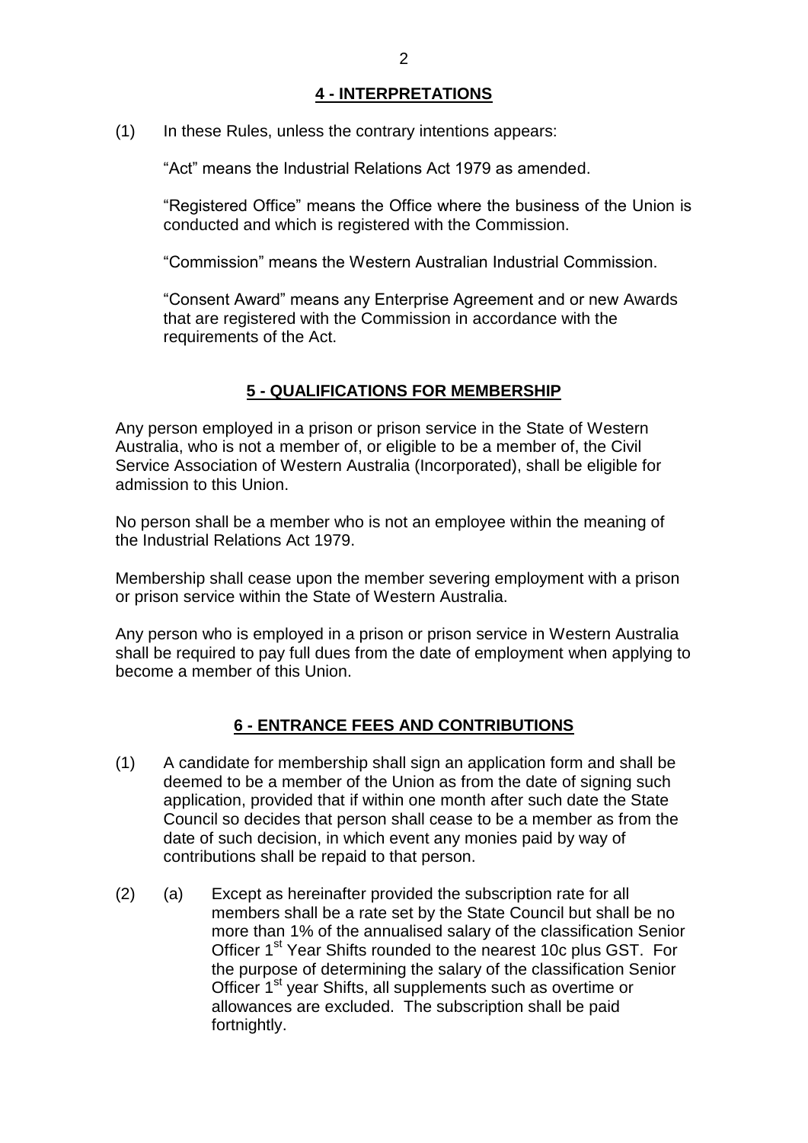#### **4 - INTERPRETATIONS**

<span id="page-2-0"></span>(1) In these Rules, unless the contrary intentions appears:

"Act" means the Industrial Relations Act 1979 as amended.

"Registered Office" means the Office where the business of the Union is conducted and which is registered with the Commission.

"Commission" means the Western Australian Industrial Commission.

"Consent Award" means any Enterprise Agreement and or new Awards that are registered with the Commission in accordance with the requirements of the Act.

### **5 - QUALIFICATIONS FOR MEMBERSHIP**

<span id="page-2-1"></span>Any person employed in a prison or prison service in the State of Western Australia, who is not a member of, or eligible to be a member of, the Civil Service Association of Western Australia (Incorporated), shall be eligible for admission to this Union.

No person shall be a member who is not an employee within the meaning of the Industrial Relations Act 1979.

Membership shall cease upon the member severing employment with a prison or prison service within the State of Western Australia.

Any person who is employed in a prison or prison service in Western Australia shall be required to pay full dues from the date of employment when applying to become a member of this Union.

### **6 - ENTRANCE FEES AND CONTRIBUTIONS**

- <span id="page-2-2"></span>(1) A candidate for membership shall sign an application form and shall be deemed to be a member of the Union as from the date of signing such application, provided that if within one month after such date the State Council so decides that person shall cease to be a member as from the date of such decision, in which event any monies paid by way of contributions shall be repaid to that person.
- (2) (a) Except as hereinafter provided the subscription rate for all members shall be a rate set by the State Council but shall be no more than 1% of the annualised salary of the classification Senior Officer 1<sup>st</sup> Year Shifts rounded to the nearest 10c plus GST. For the purpose of determining the salary of the classification Senior Officer 1<sup>st</sup> year Shifts, all supplements such as overtime or allowances are excluded. The subscription shall be paid fortnightly.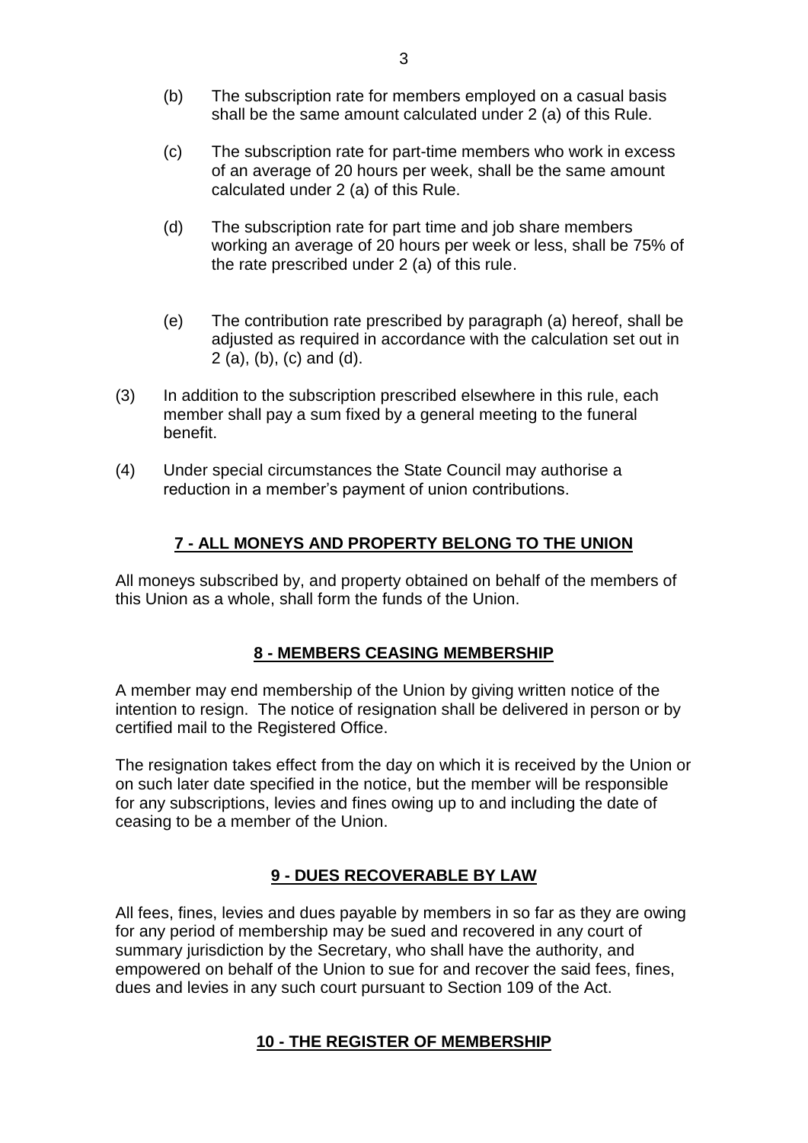- (b) The subscription rate for members employed on a casual basis shall be the same amount calculated under 2 (a) of this Rule.
- (c) The subscription rate for part-time members who work in excess of an average of 20 hours per week, shall be the same amount calculated under 2 (a) of this Rule.
- (d) The subscription rate for part time and job share members working an average of 20 hours per week or less, shall be 75% of the rate prescribed under 2 (a) of this rule.
- (e) The contribution rate prescribed by paragraph (a) hereof, shall be adjusted as required in accordance with the calculation set out in 2 (a), (b), (c) and (d).
- (3) In addition to the subscription prescribed elsewhere in this rule, each member shall pay a sum fixed by a general meeting to the funeral benefit.
- (4) Under special circumstances the State Council may authorise a reduction in a member's payment of union contributions.

### **7 - ALL MONEYS AND PROPERTY BELONG TO THE UNION**

<span id="page-3-0"></span>All moneys subscribed by, and property obtained on behalf of the members of this Union as a whole, shall form the funds of the Union.

#### **8 - MEMBERS CEASING MEMBERSHIP**

<span id="page-3-1"></span>A member may end membership of the Union by giving written notice of the intention to resign. The notice of resignation shall be delivered in person or by certified mail to the Registered Office.

The resignation takes effect from the day on which it is received by the Union or on such later date specified in the notice, but the member will be responsible for any subscriptions, levies and fines owing up to and including the date of ceasing to be a member of the Union.

#### **9 - DUES RECOVERABLE BY LAW**

<span id="page-3-3"></span><span id="page-3-2"></span>All fees, fines, levies and dues payable by members in so far as they are owing for any period of membership may be sued and recovered in any court of summary jurisdiction by the Secretary, who shall have the authority, and empowered on behalf of the Union to sue for and recover the said fees, fines, dues and levies in any such court pursuant to Section 109 of the Act.

### **10 - THE REGISTER OF MEMBERSHIP**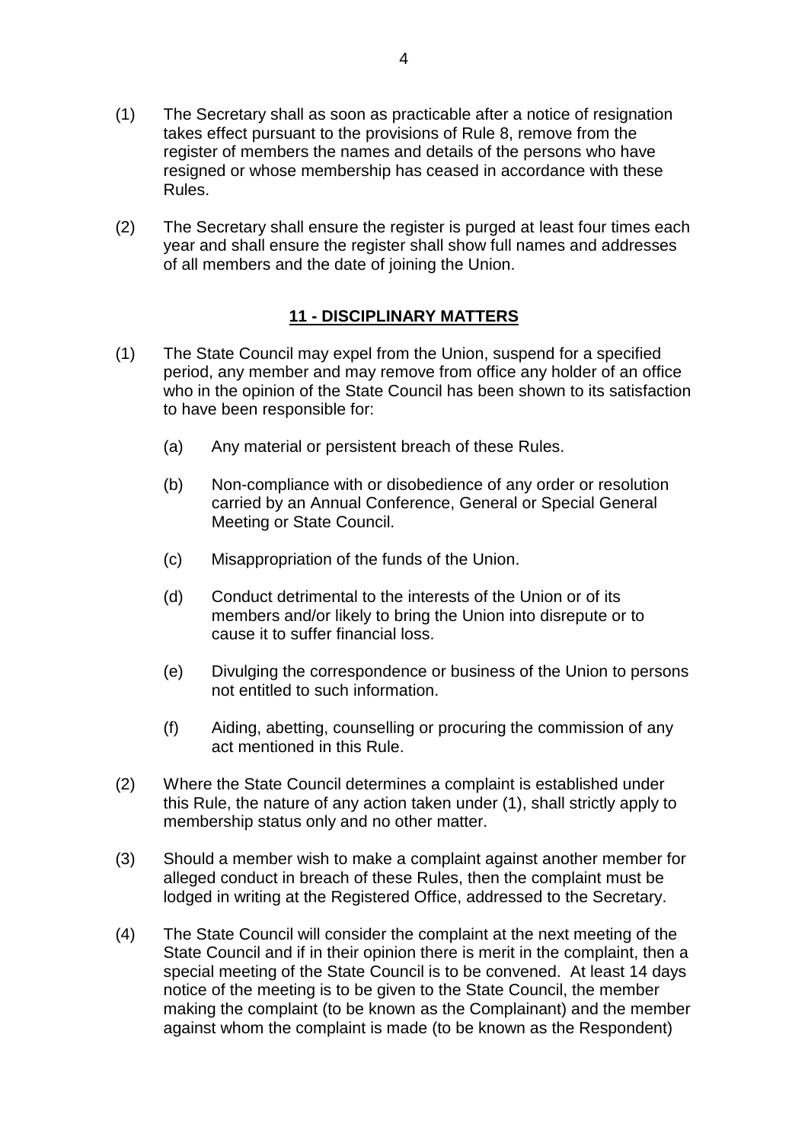- (1) The Secretary shall as soon as practicable after a notice of resignation takes effect pursuant to the provisions of Rule 8, remove from the register of members the names and details of the persons who have resigned or whose membership has ceased in accordance with these Rules.
- (2) The Secretary shall ensure the register is purged at least four times each year and shall ensure the register shall show full names and addresses of all members and the date of joining the Union.

### **11 - DISCIPLINARY MATTERS**

- <span id="page-4-0"></span>(1) The State Council may expel from the Union, suspend for a specified period, any member and may remove from office any holder of an office who in the opinion of the State Council has been shown to its satisfaction to have been responsible for:
	- (a) Any material or persistent breach of these Rules.
	- (b) Non-compliance with or disobedience of any order or resolution carried by an Annual Conference, General or Special General Meeting or State Council.
	- (c) Misappropriation of the funds of the Union.
	- (d) Conduct detrimental to the interests of the Union or of its members and/or likely to bring the Union into disrepute or to cause it to suffer financial loss.
	- (e) Divulging the correspondence or business of the Union to persons not entitled to such information.
	- (f) Aiding, abetting, counselling or procuring the commission of any act mentioned in this Rule.
- (2) Where the State Council determines a complaint is established under this Rule, the nature of any action taken under (1), shall strictly apply to membership status only and no other matter.
- (3) Should a member wish to make a complaint against another member for alleged conduct in breach of these Rules, then the complaint must be lodged in writing at the Registered Office, addressed to the Secretary.
- (4) The State Council will consider the complaint at the next meeting of the State Council and if in their opinion there is merit in the complaint, then a special meeting of the State Council is to be convened. At least 14 days notice of the meeting is to be given to the State Council, the member making the complaint (to be known as the Complainant) and the member against whom the complaint is made (to be known as the Respondent)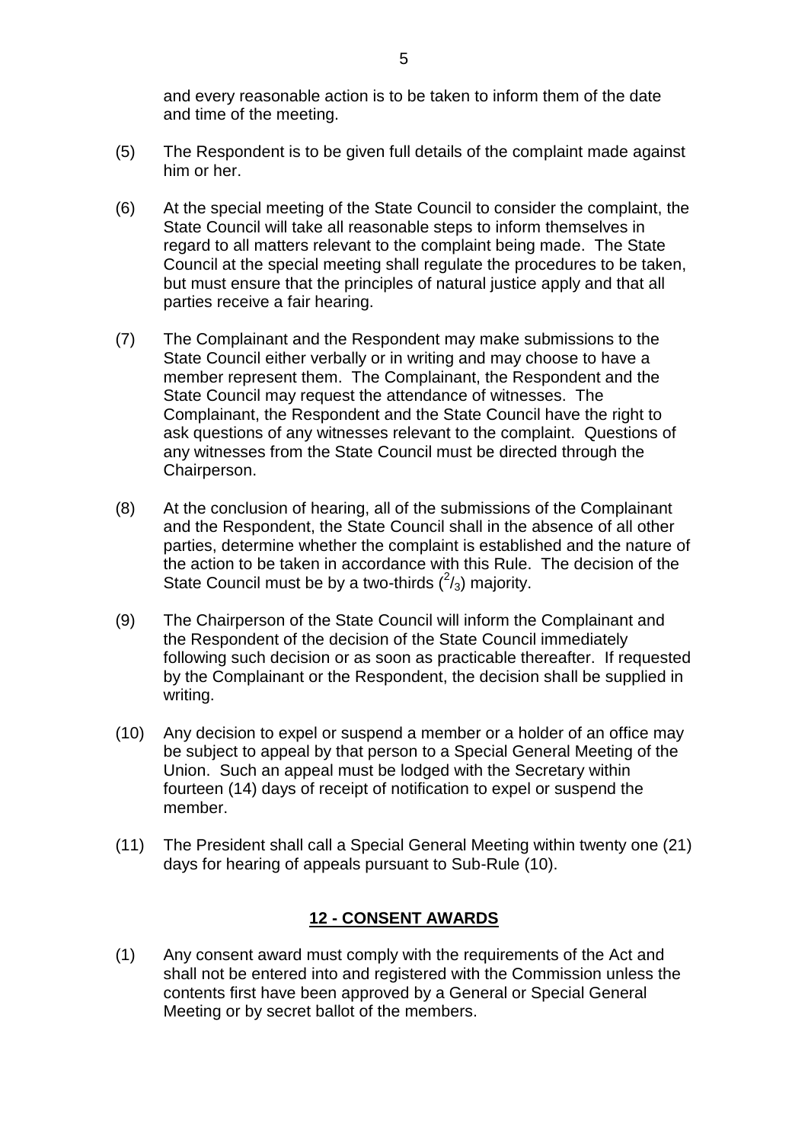and every reasonable action is to be taken to inform them of the date and time of the meeting.

- (5) The Respondent is to be given full details of the complaint made against him or her.
- (6) At the special meeting of the State Council to consider the complaint, the State Council will take all reasonable steps to inform themselves in regard to all matters relevant to the complaint being made. The State Council at the special meeting shall regulate the procedures to be taken, but must ensure that the principles of natural justice apply and that all parties receive a fair hearing.
- (7) The Complainant and the Respondent may make submissions to the State Council either verbally or in writing and may choose to have a member represent them. The Complainant, the Respondent and the State Council may request the attendance of witnesses. The Complainant, the Respondent and the State Council have the right to ask questions of any witnesses relevant to the complaint. Questions of any witnesses from the State Council must be directed through the Chairperson.
- (8) At the conclusion of hearing, all of the submissions of the Complainant and the Respondent, the State Council shall in the absence of all other parties, determine whether the complaint is established and the nature of the action to be taken in accordance with this Rule. The decision of the State Council must be by a two-thirds  $(^2/3)$  majority.
- (9) The Chairperson of the State Council will inform the Complainant and the Respondent of the decision of the State Council immediately following such decision or as soon as practicable thereafter. If requested by the Complainant or the Respondent, the decision shall be supplied in writing.
- (10) Any decision to expel or suspend a member or a holder of an office may be subject to appeal by that person to a Special General Meeting of the Union. Such an appeal must be lodged with the Secretary within fourteen (14) days of receipt of notification to expel or suspend the member.
- (11) The President shall call a Special General Meeting within twenty one (21) days for hearing of appeals pursuant to Sub-Rule (10).

#### **12 - CONSENT AWARDS**

<span id="page-5-0"></span>(1) Any consent award must comply with the requirements of the Act and shall not be entered into and registered with the Commission unless the contents first have been approved by a General or Special General Meeting or by secret ballot of the members.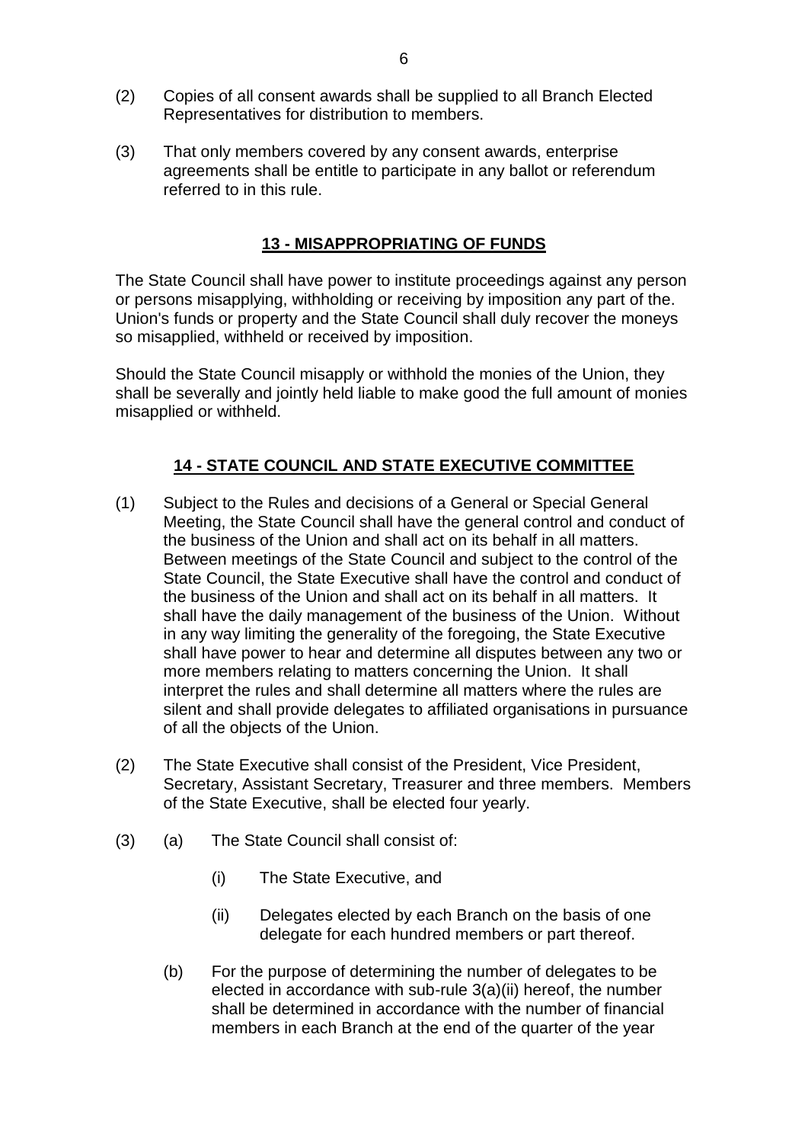- (2) Copies of all consent awards shall be supplied to all Branch Elected Representatives for distribution to members.
- (3) That only members covered by any consent awards, enterprise agreements shall be entitle to participate in any ballot or referendum referred to in this rule.

### **13 - MISAPPROPRIATING OF FUNDS**

<span id="page-6-0"></span>The State Council shall have power to institute proceedings against any person or persons misapplying, withholding or receiving by imposition any part of the. Union's funds or property and the State Council shall duly recover the moneys so misapplied, withheld or received by imposition.

Should the State Council misapply or withhold the monies of the Union, they shall be severally and jointly held liable to make good the full amount of monies misapplied or withheld.

### **14 - STATE COUNCIL AND STATE EXECUTIVE COMMITTEE**

- <span id="page-6-1"></span>(1) Subject to the Rules and decisions of a General or Special General Meeting, the State Council shall have the general control and conduct of the business of the Union and shall act on its behalf in all matters. Between meetings of the State Council and subject to the control of the State Council, the State Executive shall have the control and conduct of the business of the Union and shall act on its behalf in all matters. It shall have the daily management of the business of the Union. Without in any way limiting the generality of the foregoing, the State Executive shall have power to hear and determine all disputes between any two or more members relating to matters concerning the Union. It shall interpret the rules and shall determine all matters where the rules are silent and shall provide delegates to affiliated organisations in pursuance of all the objects of the Union.
- (2) The State Executive shall consist of the President, Vice President, Secretary, Assistant Secretary, Treasurer and three members. Members of the State Executive, shall be elected four yearly.
- (3) (a) The State Council shall consist of:
	- (i) The State Executive, and
	- (ii) Delegates elected by each Branch on the basis of one delegate for each hundred members or part thereof.
	- (b) For the purpose of determining the number of delegates to be elected in accordance with sub-rule 3(a)(ii) hereof, the number shall be determined in accordance with the number of financial members in each Branch at the end of the quarter of the year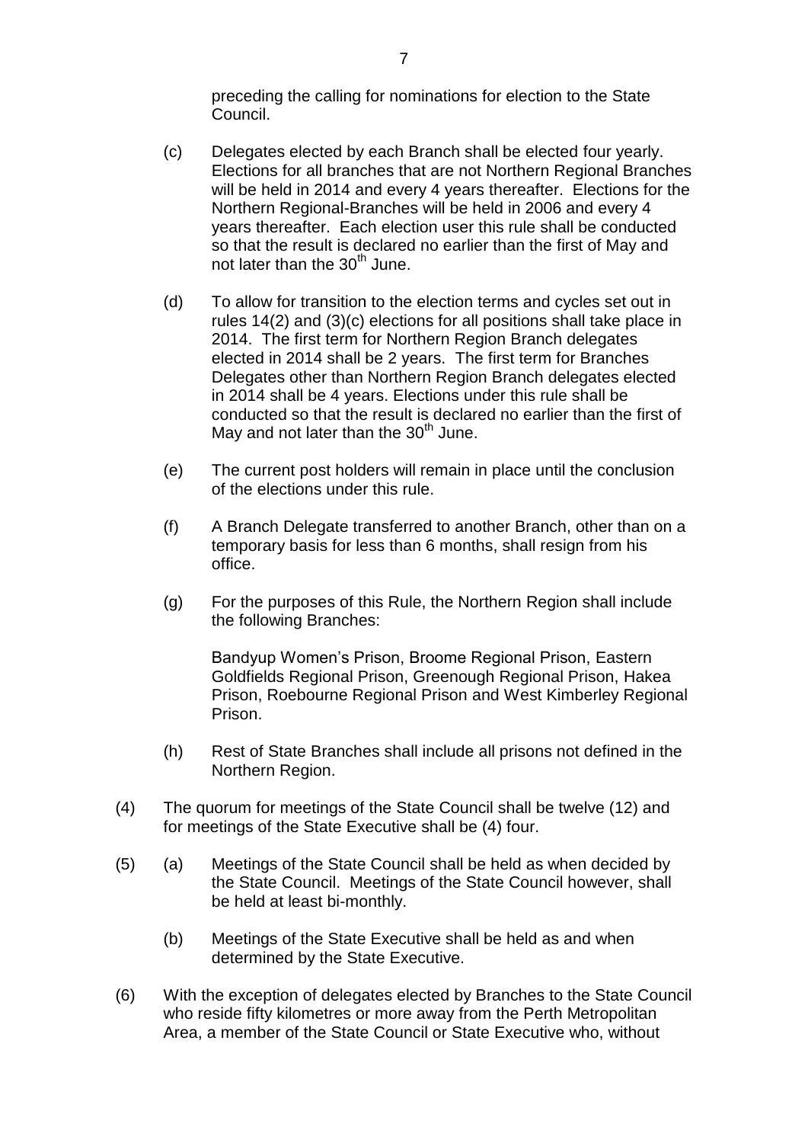preceding the calling for nominations for election to the State Council.

- (c) Delegates elected by each Branch shall be elected four yearly. Elections for all branches that are not Northern Regional Branches will be held in 2014 and every 4 years thereafter. Elections for the Northern Regional-Branches will be held in 2006 and every 4 years thereafter. Each election user this rule shall be conducted so that the result is declared no earlier than the first of May and not later than the  $30<sup>th</sup>$  June.
- (d) To allow for transition to the election terms and cycles set out in rules 14(2) and (3)(c) elections for all positions shall take place in 2014. The first term for Northern Region Branch delegates elected in 2014 shall be 2 years. The first term for Branches Delegates other than Northern Region Branch delegates elected in 2014 shall be 4 years. Elections under this rule shall be conducted so that the result is declared no earlier than the first of May and not later than the  $30<sup>th</sup>$  June.
- (e) The current post holders will remain in place until the conclusion of the elections under this rule.
- (f) A Branch Delegate transferred to another Branch, other than on a temporary basis for less than 6 months, shall resign from his office.
- (g) For the purposes of this Rule, the Northern Region shall include the following Branches:

Bandyup Women's Prison, Broome Regional Prison, Eastern Goldfields Regional Prison, Greenough Regional Prison, Hakea Prison, Roebourne Regional Prison and West Kimberley Regional Prison.

- (h) Rest of State Branches shall include all prisons not defined in the Northern Region.
- (4) The quorum for meetings of the State Council shall be twelve (12) and for meetings of the State Executive shall be (4) four.
- (5) (a) Meetings of the State Council shall be held as when decided by the State Council. Meetings of the State Council however, shall be held at least bi-monthly.
	- (b) Meetings of the State Executive shall be held as and when determined by the State Executive.
- (6) With the exception of delegates elected by Branches to the State Council who reside fifty kilometres or more away from the Perth Metropolitan Area, a member of the State Council or State Executive who, without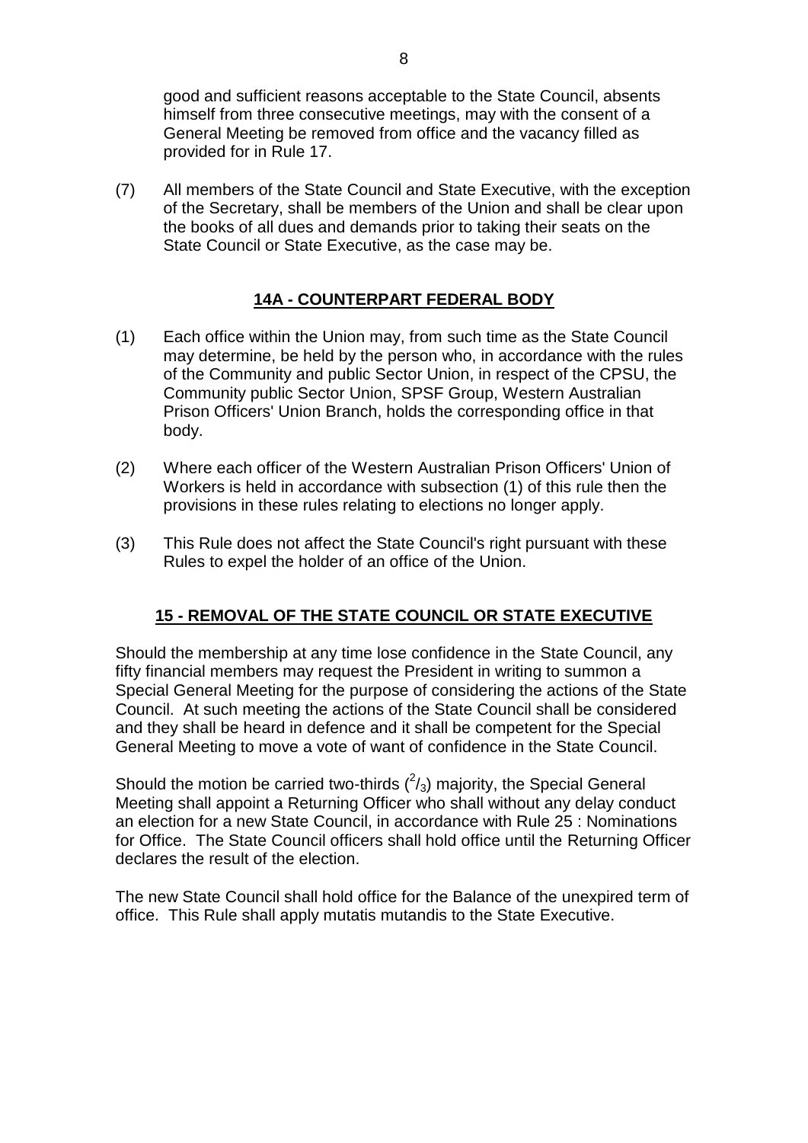good and sufficient reasons acceptable to the State Council, absents himself from three consecutive meetings, may with the consent of a General Meeting be removed from office and the vacancy filled as provided for in Rule 17.

(7) All members of the State Council and State Executive, with the exception of the Secretary, shall be members of the Union and shall be clear upon the books of all dues and demands prior to taking their seats on the State Council or State Executive, as the case may be.

# **14A - COUNTERPART FEDERAL BODY**

- <span id="page-8-0"></span>(1) Each office within the Union may, from such time as the State Council may determine, be held by the person who, in accordance with the rules of the Community and public Sector Union, in respect of the CPSU, the Community public Sector Union, SPSF Group, Western Australian Prison Officers' Union Branch, holds the corresponding office in that body.
- (2) Where each officer of the Western Australian Prison Officers' Union of Workers is held in accordance with subsection (1) of this rule then the provisions in these rules relating to elections no longer apply.
- (3) This Rule does not affect the State Council's right pursuant with these Rules to expel the holder of an office of the Union.

### **15 - REMOVAL OF THE STATE COUNCIL OR STATE EXECUTIVE**

<span id="page-8-1"></span>Should the membership at any time lose confidence in the State Council, any fifty financial members may request the President in writing to summon a Special General Meeting for the purpose of considering the actions of the State Council. At such meeting the actions of the State Council shall be considered and they shall be heard in defence and it shall be competent for the Special General Meeting to move a vote of want of confidence in the State Council.

Should the motion be carried two-thirds  $(^2/3)$  majority, the Special General Meeting shall appoint a Returning Officer who shall without any delay conduct an election for a new State Council, in accordance with Rule 25 : Nominations for Office. The State Council officers shall hold office until the Returning Officer declares the result of the election.

The new State Council shall hold office for the Balance of the unexpired term of office. This Rule shall apply mutatis mutandis to the State Executive.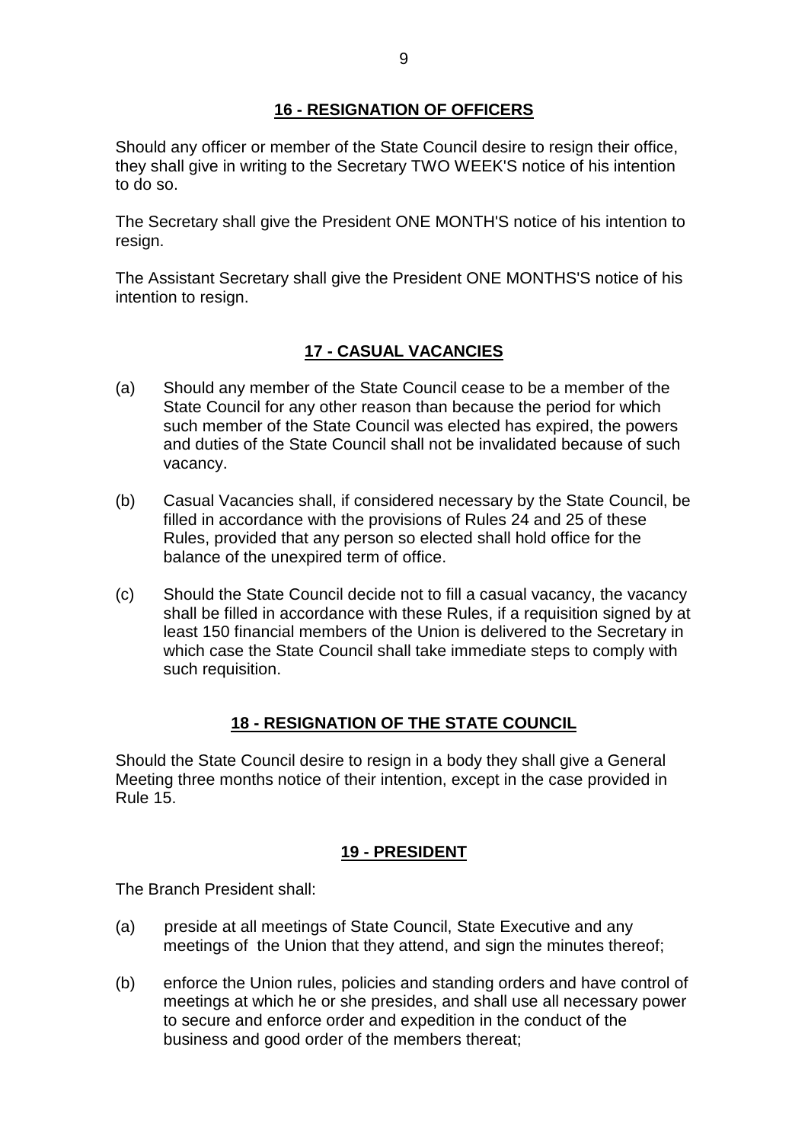### **16 - RESIGNATION OF OFFICERS**

<span id="page-9-0"></span>Should any officer or member of the State Council desire to resign their office, they shall give in writing to the Secretary TWO WEEK'S notice of his intention to do so.

The Secretary shall give the President ONE MONTH'S notice of his intention to resign.

The Assistant Secretary shall give the President ONE MONTHS'S notice of his intention to resign.

# **17 - CASUAL VACANCIES**

- <span id="page-9-1"></span>(a) Should any member of the State Council cease to be a member of the State Council for any other reason than because the period for which such member of the State Council was elected has expired, the powers and duties of the State Council shall not be invalidated because of such vacancy.
- (b) Casual Vacancies shall, if considered necessary by the State Council, be filled in accordance with the provisions of Rules 24 and 25 of these Rules, provided that any person so elected shall hold office for the balance of the unexpired term of office.
- (c) Should the State Council decide not to fill a casual vacancy, the vacancy shall be filled in accordance with these Rules, if a requisition signed by at least 150 financial members of the Union is delivered to the Secretary in which case the State Council shall take immediate steps to comply with such requisition.

### **18 - RESIGNATION OF THE STATE COUNCIL**

<span id="page-9-2"></span>Should the State Council desire to resign in a body they shall give a General Meeting three months notice of their intention, except in the case provided in Rule 15.

### **19 - PRESIDENT**

<span id="page-9-3"></span>The Branch President shall:

- (a) preside at all meetings of State Council, State Executive and any meetings of the Union that they attend, and sign the minutes thereof;
- (b) enforce the Union rules, policies and standing orders and have control of meetings at which he or she presides, and shall use all necessary power to secure and enforce order and expedition in the conduct of the business and good order of the members thereat;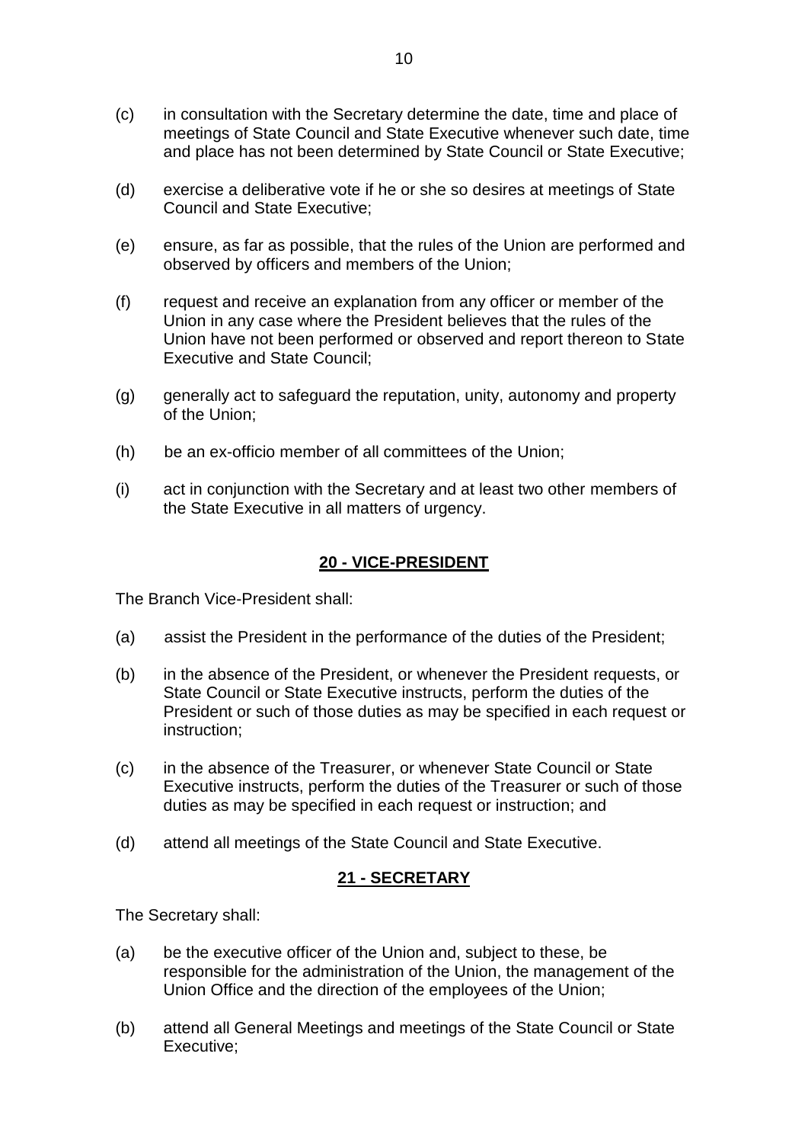- (c) in consultation with the Secretary determine the date, time and place of meetings of State Council and State Executive whenever such date, time and place has not been determined by State Council or State Executive;
- (d) exercise a deliberative vote if he or she so desires at meetings of State Council and State Executive;
- (e) ensure, as far as possible, that the rules of the Union are performed and observed by officers and members of the Union;
- (f) request and receive an explanation from any officer or member of the Union in any case where the President believes that the rules of the Union have not been performed or observed and report thereon to State Executive and State Council;
- (g) generally act to safeguard the reputation, unity, autonomy and property of the Union;
- (h) be an ex-officio member of all committees of the Union;
- (i) act in conjunction with the Secretary and at least two other members of the State Executive in all matters of urgency.

#### **20 - VICE-PRESIDENT**

<span id="page-10-0"></span>The Branch Vice-President shall:

- (a) assist the President in the performance of the duties of the President;
- (b) in the absence of the President, or whenever the President requests, or State Council or State Executive instructs, perform the duties of the President or such of those duties as may be specified in each request or instruction;
- (c) in the absence of the Treasurer, or whenever State Council or State Executive instructs, perform the duties of the Treasurer or such of those duties as may be specified in each request or instruction; and
- (d) attend all meetings of the State Council and State Executive.

#### **21 - SECRETARY**

<span id="page-10-1"></span>The Secretary shall:

- (a) be the executive officer of the Union and, subject to these, be responsible for the administration of the Union, the management of the Union Office and the direction of the employees of the Union;
- (b) attend all General Meetings and meetings of the State Council or State Executive;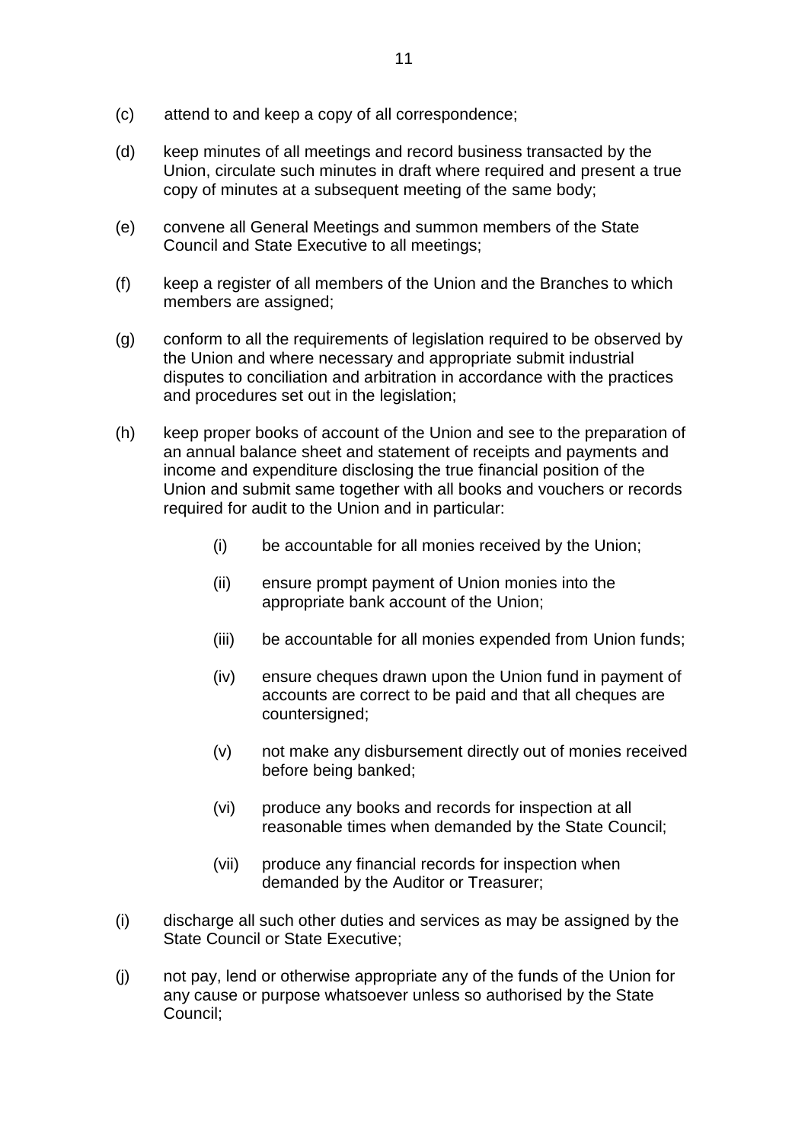- (c) attend to and keep a copy of all correspondence;
- (d) keep minutes of all meetings and record business transacted by the Union, circulate such minutes in draft where required and present a true copy of minutes at a subsequent meeting of the same body;
- (e) convene all General Meetings and summon members of the State Council and State Executive to all meetings;
- (f) keep a register of all members of the Union and the Branches to which members are assigned;
- (g) conform to all the requirements of legislation required to be observed by the Union and where necessary and appropriate submit industrial disputes to conciliation and arbitration in accordance with the practices and procedures set out in the legislation;
- (h) keep proper books of account of the Union and see to the preparation of an annual balance sheet and statement of receipts and payments and income and expenditure disclosing the true financial position of the Union and submit same together with all books and vouchers or records required for audit to the Union and in particular:
	- (i) be accountable for all monies received by the Union;
	- (ii) ensure prompt payment of Union monies into the appropriate bank account of the Union;
	- (iii) be accountable for all monies expended from Union funds;
	- (iv) ensure cheques drawn upon the Union fund in payment of accounts are correct to be paid and that all cheques are countersigned;
	- (v) not make any disbursement directly out of monies received before being banked;
	- (vi) produce any books and records for inspection at all reasonable times when demanded by the State Council;
	- (vii) produce any financial records for inspection when demanded by the Auditor or Treasurer;
- (i) discharge all such other duties and services as may be assigned by the State Council or State Executive;
- (j) not pay, lend or otherwise appropriate any of the funds of the Union for any cause or purpose whatsoever unless so authorised by the State Council;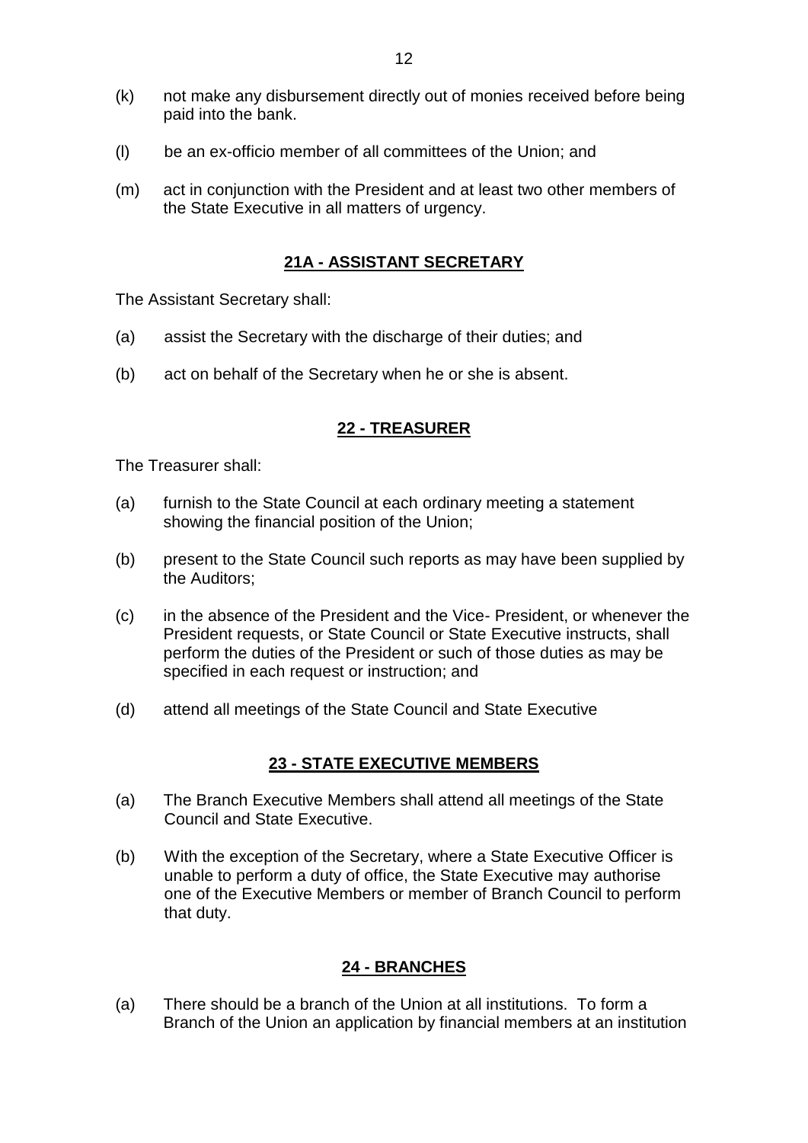- (k) not make any disbursement directly out of monies received before being paid into the bank.
- (l) be an ex-officio member of all committees of the Union; and
- (m) act in conjunction with the President and at least two other members of the State Executive in all matters of urgency.

### **21A - ASSISTANT SECRETARY**

<span id="page-12-0"></span>The Assistant Secretary shall:

- (a) assist the Secretary with the discharge of their duties; and
- (b) act on behalf of the Secretary when he or she is absent.

### **22 - TREASURER**

<span id="page-12-1"></span>The Treasurer shall:

- (a) furnish to the State Council at each ordinary meeting a statement showing the financial position of the Union;
- (b) present to the State Council such reports as may have been supplied by the Auditors;
- (c) in the absence of the President and the Vice- President, or whenever the President requests, or State Council or State Executive instructs, shall perform the duties of the President or such of those duties as may be specified in each request or instruction; and
- (d) attend all meetings of the State Council and State Executive

#### **23 - STATE EXECUTIVE MEMBERS**

- <span id="page-12-2"></span>(a) The Branch Executive Members shall attend all meetings of the State Council and State Executive.
- (b) With the exception of the Secretary, where a State Executive Officer is unable to perform a duty of office, the State Executive may authorise one of the Executive Members or member of Branch Council to perform that duty.

### **24 - BRANCHES**

<span id="page-12-3"></span>(a) There should be a branch of the Union at all institutions. To form a Branch of the Union an application by financial members at an institution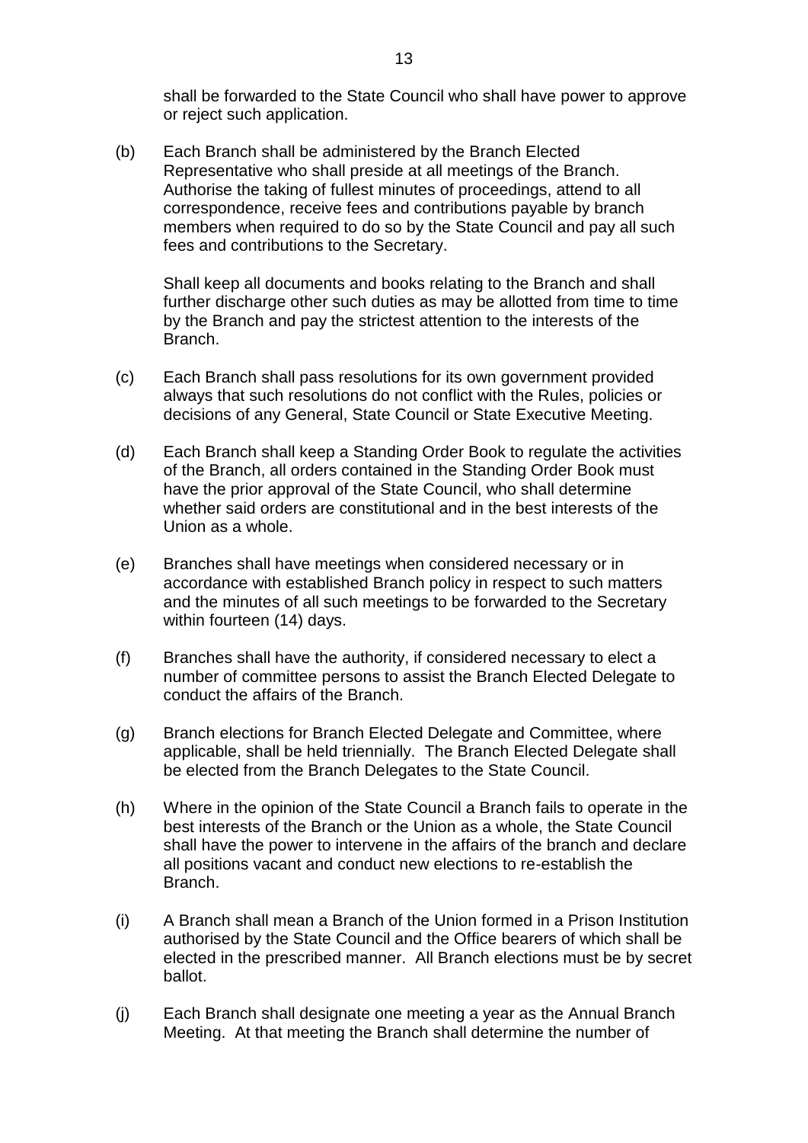shall be forwarded to the State Council who shall have power to approve or reject such application.

(b) Each Branch shall be administered by the Branch Elected Representative who shall preside at all meetings of the Branch. Authorise the taking of fullest minutes of proceedings, attend to all correspondence, receive fees and contributions payable by branch members when required to do so by the State Council and pay all such fees and contributions to the Secretary.

Shall keep all documents and books relating to the Branch and shall further discharge other such duties as may be allotted from time to time by the Branch and pay the strictest attention to the interests of the Branch.

- (c) Each Branch shall pass resolutions for its own government provided always that such resolutions do not conflict with the Rules, policies or decisions of any General, State Council or State Executive Meeting.
- (d) Each Branch shall keep a Standing Order Book to regulate the activities of the Branch, all orders contained in the Standing Order Book must have the prior approval of the State Council, who shall determine whether said orders are constitutional and in the best interests of the Union as a whole.
- (e) Branches shall have meetings when considered necessary or in accordance with established Branch policy in respect to such matters and the minutes of all such meetings to be forwarded to the Secretary within fourteen (14) days.
- (f) Branches shall have the authority, if considered necessary to elect a number of committee persons to assist the Branch Elected Delegate to conduct the affairs of the Branch.
- (g) Branch elections for Branch Elected Delegate and Committee, where applicable, shall be held triennially. The Branch Elected Delegate shall be elected from the Branch Delegates to the State Council.
- (h) Where in the opinion of the State Council a Branch fails to operate in the best interests of the Branch or the Union as a whole, the State Council shall have the power to intervene in the affairs of the branch and declare all positions vacant and conduct new elections to re-establish the Branch.
- (i) A Branch shall mean a Branch of the Union formed in a Prison Institution authorised by the State Council and the Office bearers of which shall be elected in the prescribed manner. All Branch elections must be by secret ballot.
- (j) Each Branch shall designate one meeting a year as the Annual Branch Meeting. At that meeting the Branch shall determine the number of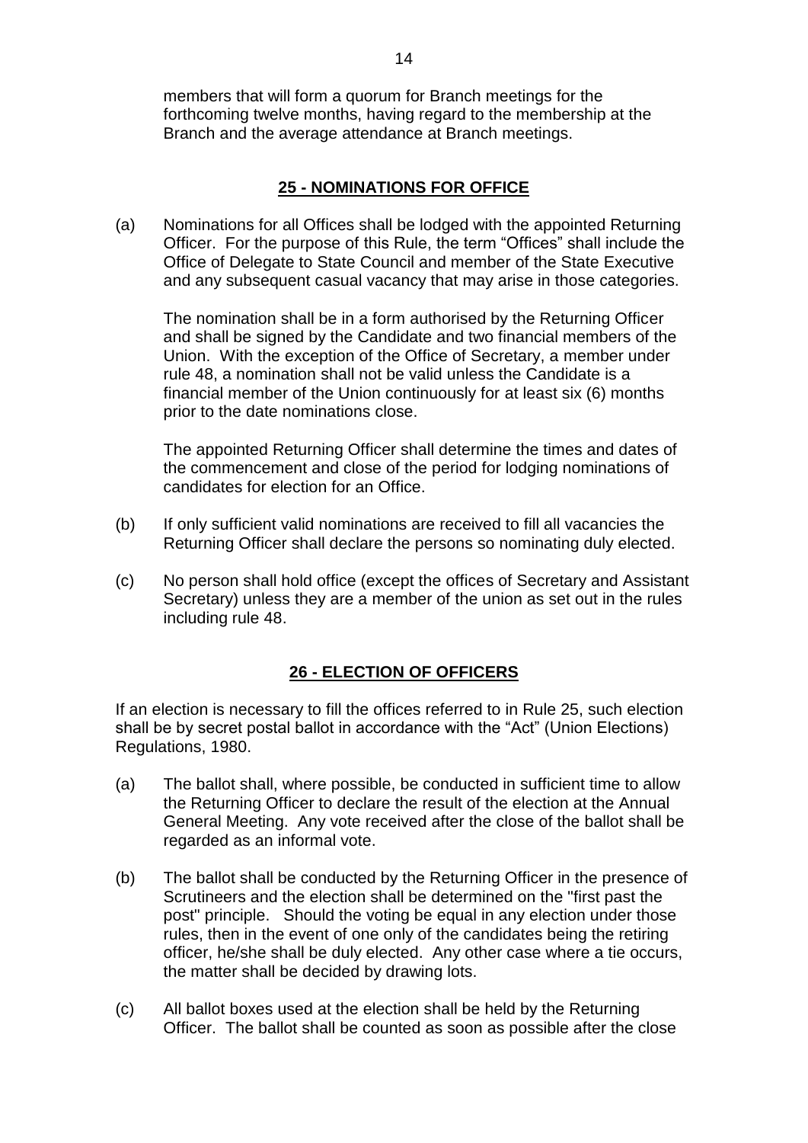members that will form a quorum for Branch meetings for the forthcoming twelve months, having regard to the membership at the Branch and the average attendance at Branch meetings.

### **25 - NOMINATIONS FOR OFFICE**

<span id="page-14-0"></span>(a) Nominations for all Offices shall be lodged with the appointed Returning Officer. For the purpose of this Rule, the term "Offices" shall include the Office of Delegate to State Council and member of the State Executive and any subsequent casual vacancy that may arise in those categories.

The nomination shall be in a form authorised by the Returning Officer and shall be signed by the Candidate and two financial members of the Union. With the exception of the Office of Secretary, a member under rule 48, a nomination shall not be valid unless the Candidate is a financial member of the Union continuously for at least six (6) months prior to the date nominations close.

The appointed Returning Officer shall determine the times and dates of the commencement and close of the period for lodging nominations of candidates for election for an Office.

- (b) If only sufficient valid nominations are received to fill all vacancies the Returning Officer shall declare the persons so nominating duly elected.
- (c) No person shall hold office (except the offices of Secretary and Assistant Secretary) unless they are a member of the union as set out in the rules including rule 48.

### **26 - ELECTION OF OFFICERS**

<span id="page-14-1"></span>If an election is necessary to fill the offices referred to in Rule 25, such election shall be by secret postal ballot in accordance with the "Act" (Union Elections) Regulations, 1980.

- (a) The ballot shall, where possible, be conducted in sufficient time to allow the Returning Officer to declare the result of the election at the Annual General Meeting. Any vote received after the close of the ballot shall be regarded as an informal vote.
- (b) The ballot shall be conducted by the Returning Officer in the presence of Scrutineers and the election shall be determined on the "first past the post" principle. Should the voting be equal in any election under those rules, then in the event of one only of the candidates being the retiring officer, he/she shall be duly elected. Any other case where a tie occurs, the matter shall be decided by drawing lots.
- (c) All ballot boxes used at the election shall be held by the Returning Officer. The ballot shall be counted as soon as possible after the close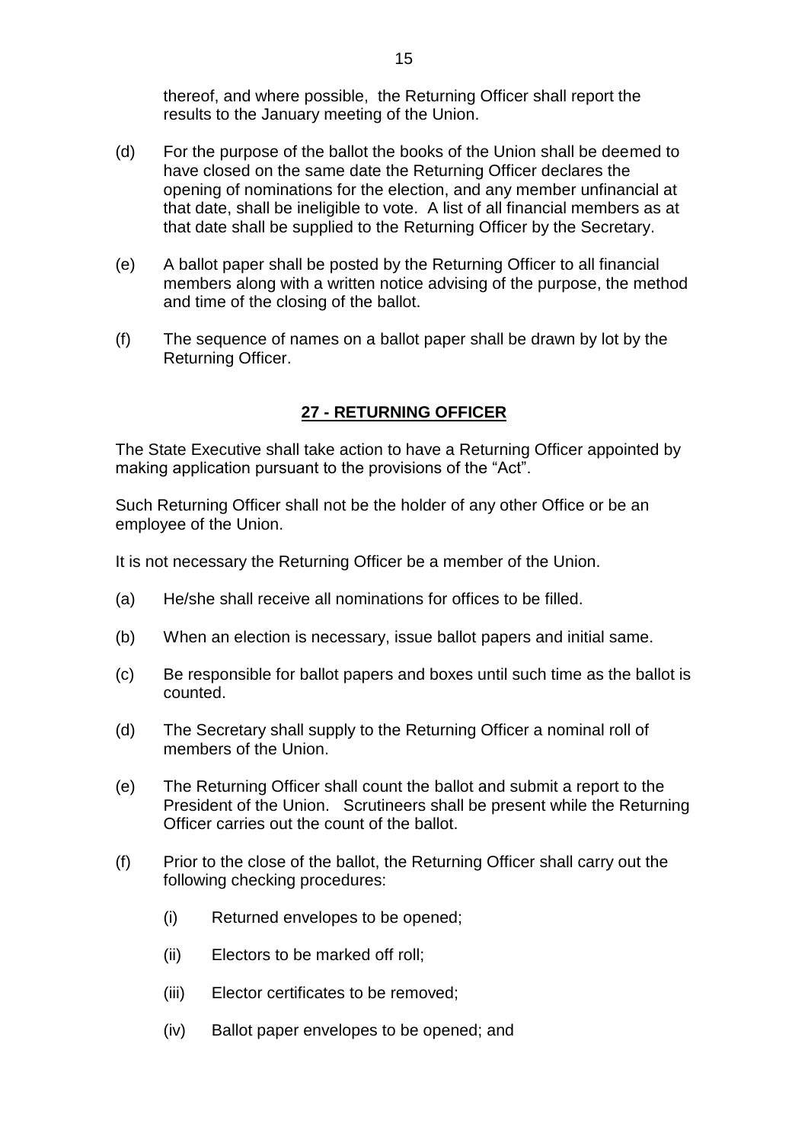thereof, and where possible, the Returning Officer shall report the results to the January meeting of the Union.

- (d) For the purpose of the ballot the books of the Union shall be deemed to have closed on the same date the Returning Officer declares the opening of nominations for the election, and any member unfinancial at that date, shall be ineligible to vote. A list of all financial members as at that date shall be supplied to the Returning Officer by the Secretary.
- (e) A ballot paper shall be posted by the Returning Officer to all financial members along with a written notice advising of the purpose, the method and time of the closing of the ballot.
- (f) The sequence of names on a ballot paper shall be drawn by lot by the Returning Officer.

### **27 - RETURNING OFFICER**

<span id="page-15-0"></span>The State Executive shall take action to have a Returning Officer appointed by making application pursuant to the provisions of the "Act".

Such Returning Officer shall not be the holder of any other Office or be an employee of the Union.

It is not necessary the Returning Officer be a member of the Union.

- (a) He/she shall receive all nominations for offices to be filled.
- (b) When an election is necessary, issue ballot papers and initial same.
- (c) Be responsible for ballot papers and boxes until such time as the ballot is counted.
- (d) The Secretary shall supply to the Returning Officer a nominal roll of members of the Union.
- (e) The Returning Officer shall count the ballot and submit a report to the President of the Union. Scrutineers shall be present while the Returning Officer carries out the count of the ballot.
- (f) Prior to the close of the ballot, the Returning Officer shall carry out the following checking procedures:
	- (i) Returned envelopes to be opened;
	- (ii) Electors to be marked off roll;
	- (iii) Elector certificates to be removed;
	- (iv) Ballot paper envelopes to be opened; and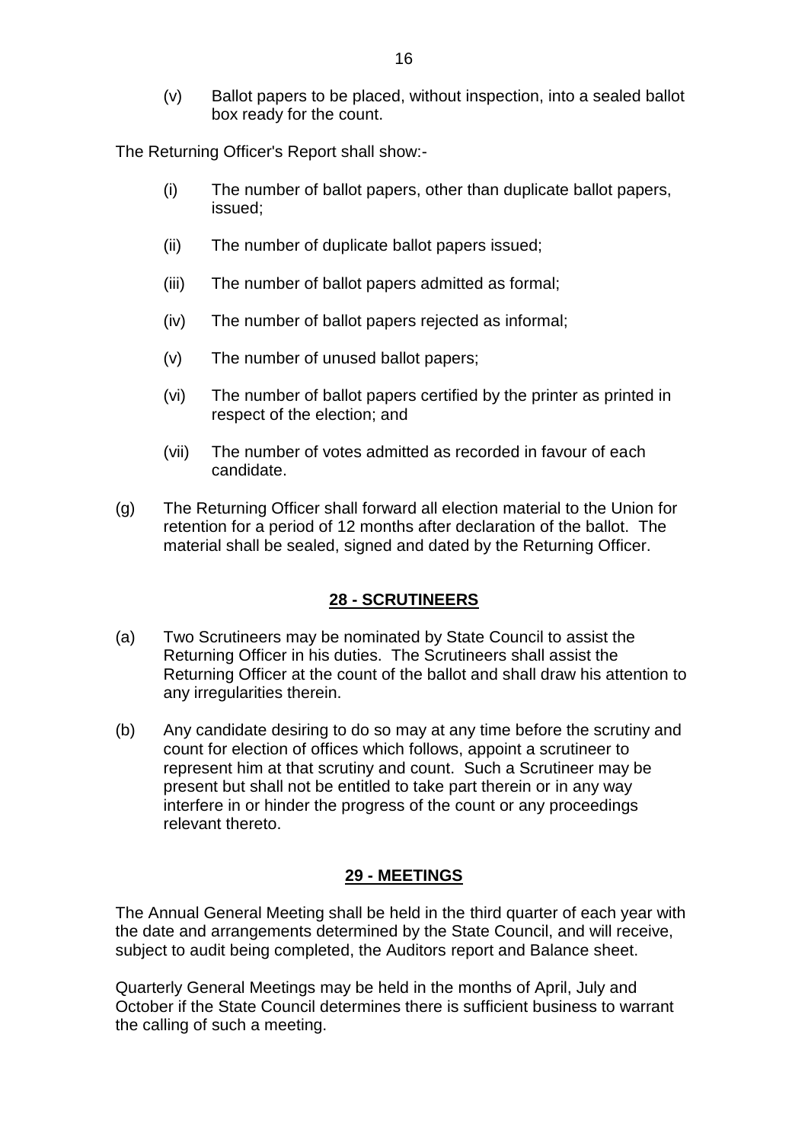(v) Ballot papers to be placed, without inspection, into a sealed ballot box ready for the count.

The Returning Officer's Report shall show:-

- (i) The number of ballot papers, other than duplicate ballot papers, issued;
- (ii) The number of duplicate ballot papers issued;
- (iii) The number of ballot papers admitted as formal;
- (iv) The number of ballot papers rejected as informal;
- (v) The number of unused ballot papers;
- (vi) The number of ballot papers certified by the printer as printed in respect of the election; and
- (vii) The number of votes admitted as recorded in favour of each candidate.
- (g) The Returning Officer shall forward all election material to the Union for retention for a period of 12 months after declaration of the ballot. The material shall be sealed, signed and dated by the Returning Officer.

#### **28 - SCRUTINEERS**

- <span id="page-16-0"></span>(a) Two Scrutineers may be nominated by State Council to assist the Returning Officer in his duties. The Scrutineers shall assist the Returning Officer at the count of the ballot and shall draw his attention to any irregularities therein.
- (b) Any candidate desiring to do so may at any time before the scrutiny and count for election of offices which follows, appoint a scrutineer to represent him at that scrutiny and count. Such a Scrutineer may be present but shall not be entitled to take part therein or in any way interfere in or hinder the progress of the count or any proceedings relevant thereto.

#### **29 - MEETINGS**

<span id="page-16-1"></span>The Annual General Meeting shall be held in the third quarter of each year with the date and arrangements determined by the State Council, and will receive, subject to audit being completed, the Auditors report and Balance sheet.

Quarterly General Meetings may be held in the months of April, July and October if the State Council determines there is sufficient business to warrant the calling of such a meeting.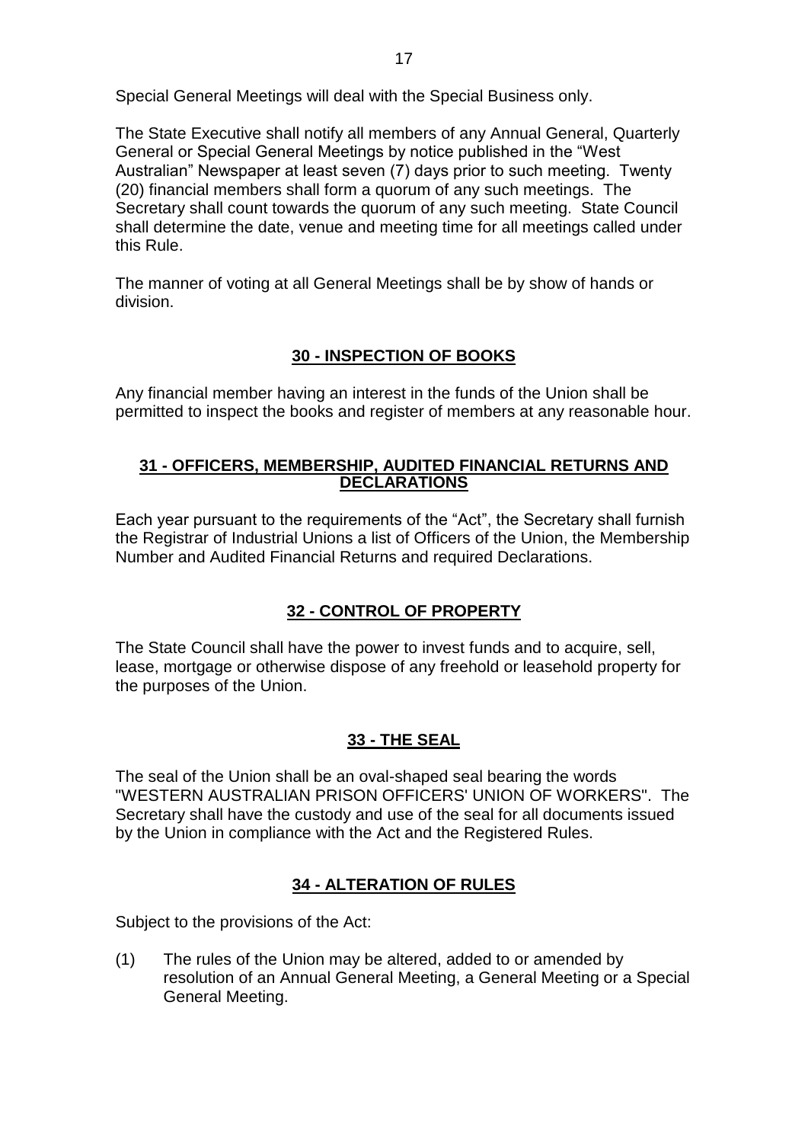Special General Meetings will deal with the Special Business only.

The State Executive shall notify all members of any Annual General, Quarterly General or Special General Meetings by notice published in the "West Australian" Newspaper at least seven (7) days prior to such meeting. Twenty (20) financial members shall form a quorum of any such meetings. The Secretary shall count towards the quorum of any such meeting. State Council shall determine the date, venue and meeting time for all meetings called under this Rule.

The manner of voting at all General Meetings shall be by show of hands or division.

# **30 - INSPECTION OF BOOKS**

<span id="page-17-0"></span>Any financial member having an interest in the funds of the Union shall be permitted to inspect the books and register of members at any reasonable hour.

#### <span id="page-17-1"></span>**31 - OFFICERS, MEMBERSHIP, AUDITED FINANCIAL RETURNS AND DECLARATIONS**

Each year pursuant to the requirements of the "Act", the Secretary shall furnish the Registrar of Industrial Unions a list of Officers of the Union, the Membership Number and Audited Financial Returns and required Declarations.

### **32 - CONTROL OF PROPERTY**

<span id="page-17-2"></span>The State Council shall have the power to invest funds and to acquire, sell, lease, mortgage or otherwise dispose of any freehold or leasehold property for the purposes of the Union.

### **33 - THE SEAL**

<span id="page-17-3"></span>The seal of the Union shall be an oval-shaped seal bearing the words "WESTERN AUSTRALIAN PRISON OFFICERS' UNION OF WORKERS". The Secretary shall have the custody and use of the seal for all documents issued by the Union in compliance with the Act and the Registered Rules.

### **34 - ALTERATION OF RULES**

<span id="page-17-4"></span>Subject to the provisions of the Act:

(1) The rules of the Union may be altered, added to or amended by resolution of an Annual General Meeting, a General Meeting or a Special General Meeting.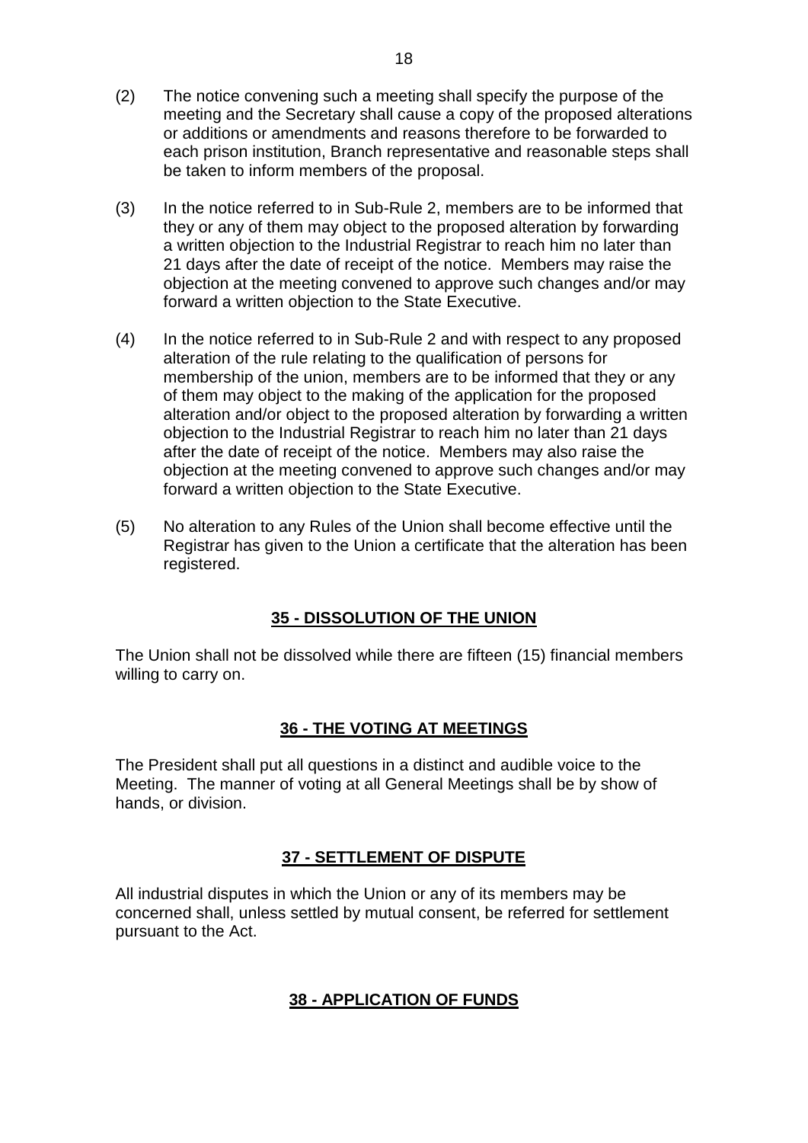- (2) The notice convening such a meeting shall specify the purpose of the meeting and the Secretary shall cause a copy of the proposed alterations or additions or amendments and reasons therefore to be forwarded to each prison institution, Branch representative and reasonable steps shall be taken to inform members of the proposal.
- (3) In the notice referred to in Sub-Rule 2, members are to be informed that they or any of them may object to the proposed alteration by forwarding a written objection to the Industrial Registrar to reach him no later than 21 days after the date of receipt of the notice. Members may raise the objection at the meeting convened to approve such changes and/or may forward a written objection to the State Executive.
- (4) In the notice referred to in Sub-Rule 2 and with respect to any proposed alteration of the rule relating to the qualification of persons for membership of the union, members are to be informed that they or any of them may object to the making of the application for the proposed alteration and/or object to the proposed alteration by forwarding a written objection to the Industrial Registrar to reach him no later than 21 days after the date of receipt of the notice. Members may also raise the objection at the meeting convened to approve such changes and/or may forward a written objection to the State Executive.
- (5) No alteration to any Rules of the Union shall become effective until the Registrar has given to the Union a certificate that the alteration has been registered.

### **35 - DISSOLUTION OF THE UNION**

<span id="page-18-0"></span>The Union shall not be dissolved while there are fifteen (15) financial members willing to carry on.

#### **36 - THE VOTING AT MEETINGS**

<span id="page-18-1"></span>The President shall put all questions in a distinct and audible voice to the Meeting. The manner of voting at all General Meetings shall be by show of hands, or division.

#### **37 - SETTLEMENT OF DISPUTE**

<span id="page-18-3"></span><span id="page-18-2"></span>All industrial disputes in which the Union or any of its members may be concerned shall, unless settled by mutual consent, be referred for settlement pursuant to the Act.

#### **38 - APPLICATION OF FUNDS**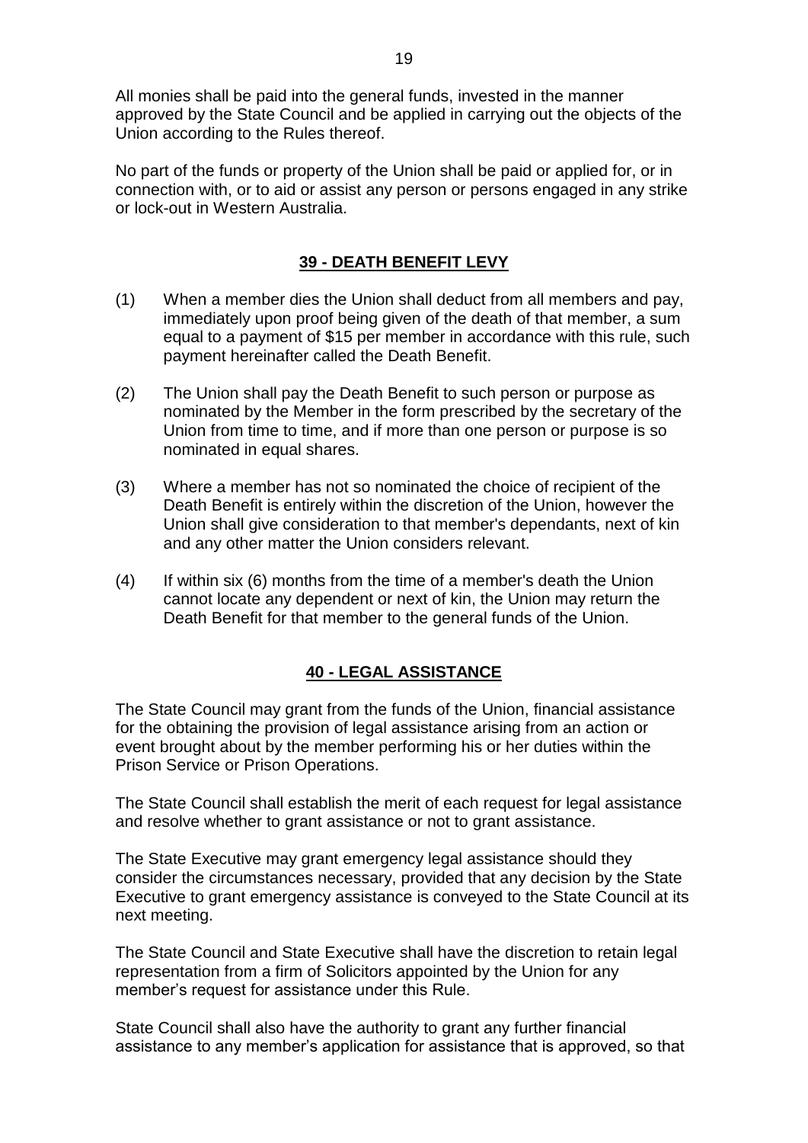All monies shall be paid into the general funds, invested in the manner approved by the State Council and be applied in carrying out the objects of the Union according to the Rules thereof.

No part of the funds or property of the Union shall be paid or applied for, or in connection with, or to aid or assist any person or persons engaged in any strike or lock-out in Western Australia.

### **39 - DEATH BENEFIT LEVY**

- <span id="page-19-0"></span>(1) When a member dies the Union shall deduct from all members and pay, immediately upon proof being given of the death of that member, a sum equal to a payment of \$15 per member in accordance with this rule, such payment hereinafter called the Death Benefit.
- (2) The Union shall pay the Death Benefit to such person or purpose as nominated by the Member in the form prescribed by the secretary of the Union from time to time, and if more than one person or purpose is so nominated in equal shares.
- (3) Where a member has not so nominated the choice of recipient of the Death Benefit is entirely within the discretion of the Union, however the Union shall give consideration to that member's dependants, next of kin and any other matter the Union considers relevant.
- (4) If within six (6) months from the time of a member's death the Union cannot locate any dependent or next of kin, the Union may return the Death Benefit for that member to the general funds of the Union.

### **40 - LEGAL ASSISTANCE**

<span id="page-19-1"></span>The State Council may grant from the funds of the Union, financial assistance for the obtaining the provision of legal assistance arising from an action or event brought about by the member performing his or her duties within the Prison Service or Prison Operations.

The State Council shall establish the merit of each request for legal assistance and resolve whether to grant assistance or not to grant assistance.

The State Executive may grant emergency legal assistance should they consider the circumstances necessary, provided that any decision by the State Executive to grant emergency assistance is conveyed to the State Council at its next meeting.

The State Council and State Executive shall have the discretion to retain legal representation from a firm of Solicitors appointed by the Union for any member's request for assistance under this Rule.

State Council shall also have the authority to grant any further financial assistance to any member's application for assistance that is approved, so that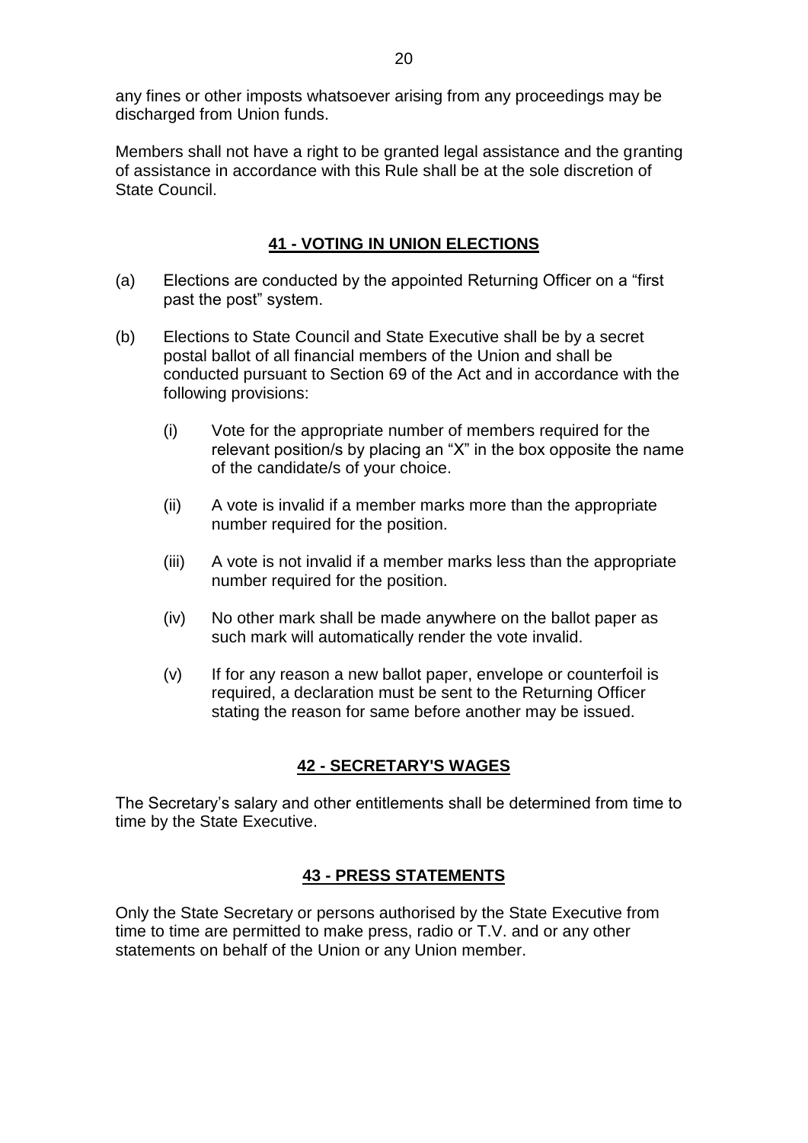any fines or other imposts whatsoever arising from any proceedings may be discharged from Union funds.

Members shall not have a right to be granted legal assistance and the granting of assistance in accordance with this Rule shall be at the sole discretion of State Council.

### **41 - VOTING IN UNION ELECTIONS**

- <span id="page-20-0"></span>(a) Elections are conducted by the appointed Returning Officer on a "first past the post" system.
- (b) Elections to State Council and State Executive shall be by a secret postal ballot of all financial members of the Union and shall be conducted pursuant to Section 69 of the Act and in accordance with the following provisions:
	- (i) Vote for the appropriate number of members required for the relevant position/s by placing an "X" in the box opposite the name of the candidate/s of your choice.
	- (ii) A vote is invalid if a member marks more than the appropriate number required for the position.
	- (iii) A vote is not invalid if a member marks less than the appropriate number required for the position.
	- (iv) No other mark shall be made anywhere on the ballot paper as such mark will automatically render the vote invalid.
	- (v) If for any reason a new ballot paper, envelope or counterfoil is required, a declaration must be sent to the Returning Officer stating the reason for same before another may be issued.

### **42 - SECRETARY'S WAGES**

<span id="page-20-1"></span>The Secretary's salary and other entitlements shall be determined from time to time by the State Executive.

#### **43 - PRESS STATEMENTS**

<span id="page-20-2"></span>Only the State Secretary or persons authorised by the State Executive from time to time are permitted to make press, radio or T.V. and or any other statements on behalf of the Union or any Union member.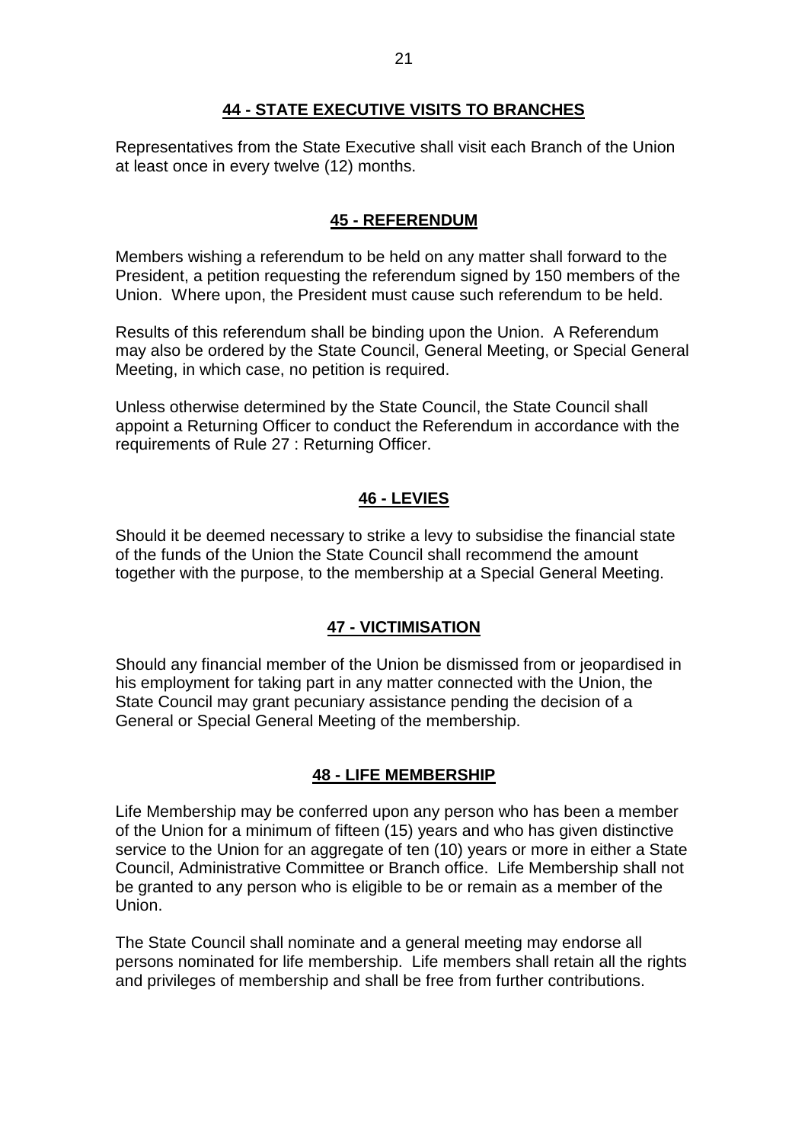### **44 - STATE EXECUTIVE VISITS TO BRANCHES**

<span id="page-21-0"></span>Representatives from the State Executive shall visit each Branch of the Union at least once in every twelve (12) months.

### **45 - REFERENDUM**

<span id="page-21-1"></span>Members wishing a referendum to be held on any matter shall forward to the President, a petition requesting the referendum signed by 150 members of the Union. Where upon, the President must cause such referendum to be held.

Results of this referendum shall be binding upon the Union. A Referendum may also be ordered by the State Council, General Meeting, or Special General Meeting, in which case, no petition is required.

Unless otherwise determined by the State Council, the State Council shall appoint a Returning Officer to conduct the Referendum in accordance with the requirements of Rule 27 : Returning Officer.

# **46 - LEVIES**

<span id="page-21-2"></span>Should it be deemed necessary to strike a levy to subsidise the financial state of the funds of the Union the State Council shall recommend the amount together with the purpose, to the membership at a Special General Meeting.

### **47 - VICTIMISATION**

<span id="page-21-3"></span>Should any financial member of the Union be dismissed from or jeopardised in his employment for taking part in any matter connected with the Union, the State Council may grant pecuniary assistance pending the decision of a General or Special General Meeting of the membership.

#### **48 - LIFE MEMBERSHIP**

<span id="page-21-4"></span>Life Membership may be conferred upon any person who has been a member of the Union for a minimum of fifteen (15) years and who has given distinctive service to the Union for an aggregate of ten (10) years or more in either a State Council, Administrative Committee or Branch office. Life Membership shall not be granted to any person who is eligible to be or remain as a member of the Union.

The State Council shall nominate and a general meeting may endorse all persons nominated for life membership. Life members shall retain all the rights and privileges of membership and shall be free from further contributions.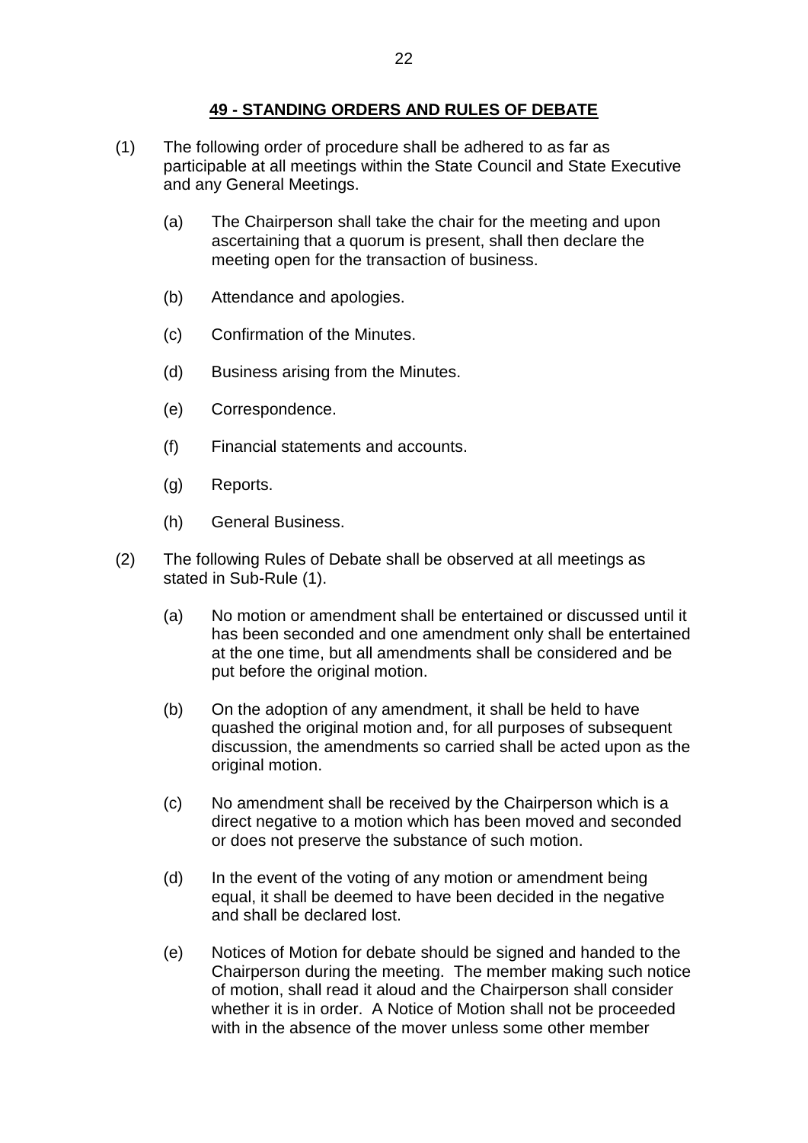### **49 - STANDING ORDERS AND RULES OF DEBATE**

- <span id="page-22-0"></span>(1) The following order of procedure shall be adhered to as far as participable at all meetings within the State Council and State Executive and any General Meetings.
	- (a) The Chairperson shall take the chair for the meeting and upon ascertaining that a quorum is present, shall then declare the meeting open for the transaction of business.
	- (b) Attendance and apologies.
	- (c) Confirmation of the Minutes.
	- (d) Business arising from the Minutes.
	- (e) Correspondence.
	- (f) Financial statements and accounts.
	- (g) Reports.
	- (h) General Business.
- (2) The following Rules of Debate shall be observed at all meetings as stated in Sub-Rule (1).
	- (a) No motion or amendment shall be entertained or discussed until it has been seconded and one amendment only shall be entertained at the one time, but all amendments shall be considered and be put before the original motion.
	- (b) On the adoption of any amendment, it shall be held to have quashed the original motion and, for all purposes of subsequent discussion, the amendments so carried shall be acted upon as the original motion.
	- (c) No amendment shall be received by the Chairperson which is a direct negative to a motion which has been moved and seconded or does not preserve the substance of such motion.
	- (d) In the event of the voting of any motion or amendment being equal, it shall be deemed to have been decided in the negative and shall be declared lost.
	- (e) Notices of Motion for debate should be signed and handed to the Chairperson during the meeting. The member making such notice of motion, shall read it aloud and the Chairperson shall consider whether it is in order. A Notice of Motion shall not be proceeded with in the absence of the mover unless some other member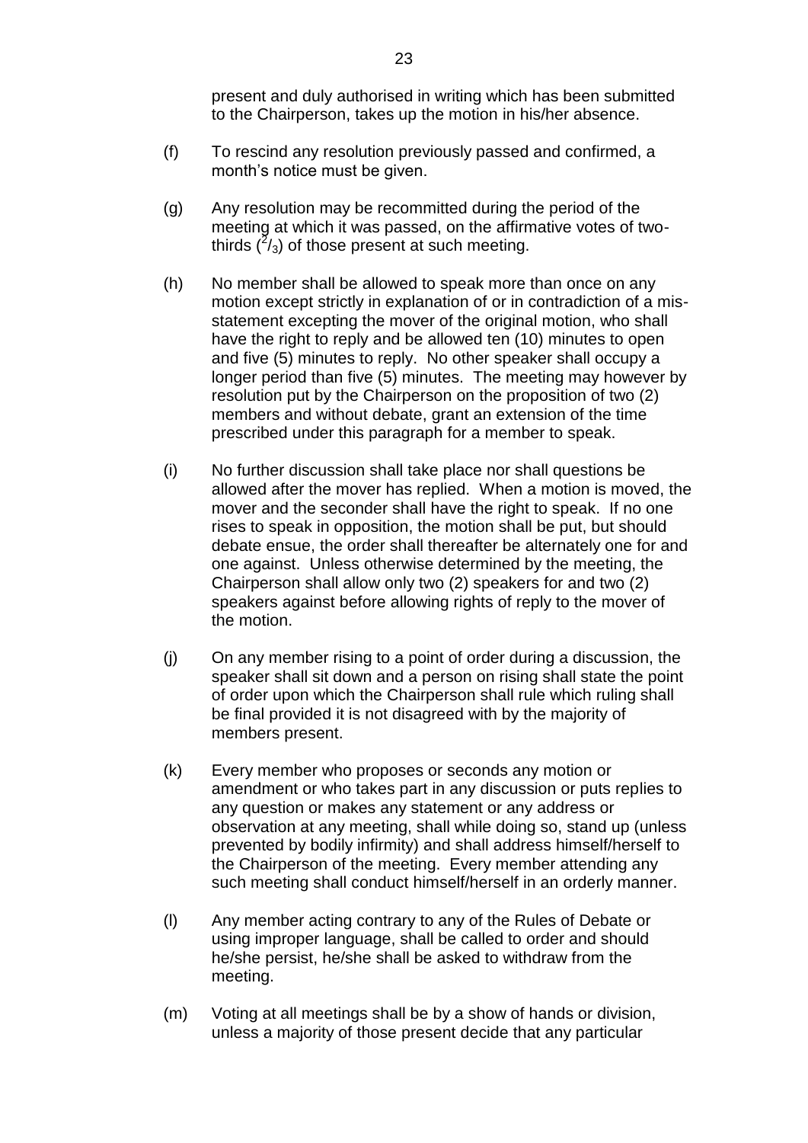present and duly authorised in writing which has been submitted to the Chairperson, takes up the motion in his/her absence.

- (f) To rescind any resolution previously passed and confirmed, a month's notice must be given.
- (g) Any resolution may be recommitted during the period of the meeting at which it was passed, on the affirmative votes of twothirds  $(^{2}/_{3})$  of those present at such meeting.
- (h) No member shall be allowed to speak more than once on any motion except strictly in explanation of or in contradiction of a misstatement excepting the mover of the original motion, who shall have the right to reply and be allowed ten (10) minutes to open and five (5) minutes to reply. No other speaker shall occupy a longer period than five (5) minutes. The meeting may however by resolution put by the Chairperson on the proposition of two (2) members and without debate, grant an extension of the time prescribed under this paragraph for a member to speak.
- (i) No further discussion shall take place nor shall questions be allowed after the mover has replied. When a motion is moved, the mover and the seconder shall have the right to speak. If no one rises to speak in opposition, the motion shall be put, but should debate ensue, the order shall thereafter be alternately one for and one against. Unless otherwise determined by the meeting, the Chairperson shall allow only two (2) speakers for and two (2) speakers against before allowing rights of reply to the mover of the motion.
- (j) On any member rising to a point of order during a discussion, the speaker shall sit down and a person on rising shall state the point of order upon which the Chairperson shall rule which ruling shall be final provided it is not disagreed with by the majority of members present.
- (k) Every member who proposes or seconds any motion or amendment or who takes part in any discussion or puts replies to any question or makes any statement or any address or observation at any meeting, shall while doing so, stand up (unless prevented by bodily infirmity) and shall address himself/herself to the Chairperson of the meeting. Every member attending any such meeting shall conduct himself/herself in an orderly manner.
- (l) Any member acting contrary to any of the Rules of Debate or using improper language, shall be called to order and should he/she persist, he/she shall be asked to withdraw from the meeting.
- (m) Voting at all meetings shall be by a show of hands or division, unless a majority of those present decide that any particular